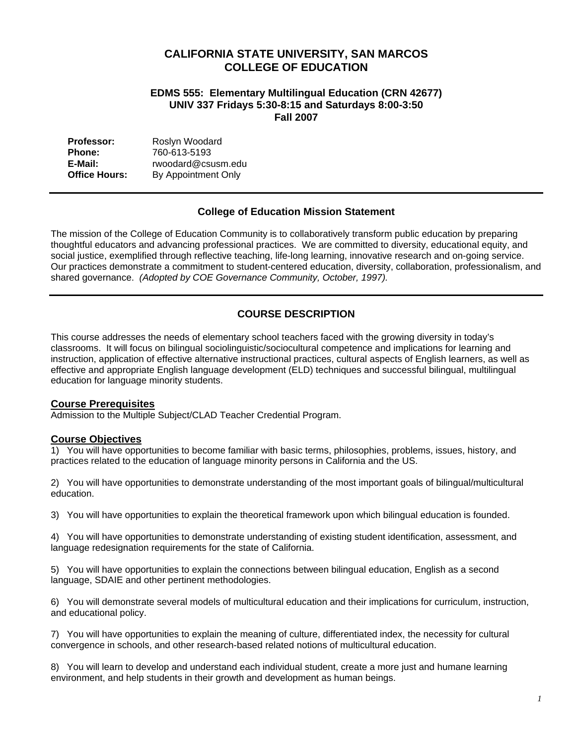# **CALIFORNIA STATE UNIVERSITY, SAN MARCOS COLLEGE OF EDUCATION**

## **EDMS 555: Elementary Multilingual Education (CRN 42677) UNIV 337 Fridays 5:30-8:15 and Saturdays 8:00-3:50 Fall 2007**

| <b>Professor:</b>    | Roslyn Woodard      |
|----------------------|---------------------|
| <b>Phone:</b>        | 760-613-5193        |
| E-Mail:              | rwoodard@csusm.edu  |
| <b>Office Hours:</b> | By Appointment Only |

## **College of Education Mission Statement**

The mission of the College of Education Community is to collaboratively transform public education by preparing thoughtful educators and advancing professional practices. We are committed to diversity, educational equity, and social justice, exemplified through reflective teaching, life-long learning, innovative research and on-going service. Our practices demonstrate a commitment to student-centered education, diversity, collaboration, professionalism, and shared governance. *(Adopted by COE Governance Community, October, 1997).* 

# **COURSE DESCRIPTION**

This course addresses the needs of elementary school teachers faced with the growing diversity in today's classrooms. It will focus on bilingual sociolinguistic/sociocultural competence and implications for learning and instruction, application of effective alternative instructional practices, cultural aspects of English learners, as well as effective and appropriate English language development (ELD) techniques and successful bilingual, multilingual education for language minority students.

### **Course Prerequisites**

Admission to the Multiple Subject/CLAD Teacher Credential Program.

## **Course Objectives**

1) You will have opportunities to become familiar with basic terms, philosophies, problems, issues, history, and practices related to the education of language minority persons in California and the US.

2) You will have opportunities to demonstrate understanding of the most important goals of bilingual/multicultural education.

3) You will have opportunities to explain the theoretical framework upon which bilingual education is founded.

4) You will have opportunities to demonstrate understanding of existing student identification, assessment, and language redesignation requirements for the state of California.

5) You will have opportunities to explain the connections between bilingual education, English as a second language, SDAIE and other pertinent methodologies.

6) You will demonstrate several models of multicultural education and their implications for curriculum, instruction, and educational policy.

7) You will have opportunities to explain the meaning of culture, differentiated index, the necessity for cultural convergence in schools, and other research-based related notions of multicultural education.

8) You will learn to develop and understand each individual student, create a more just and humane learning environment, and help students in their growth and development as human beings.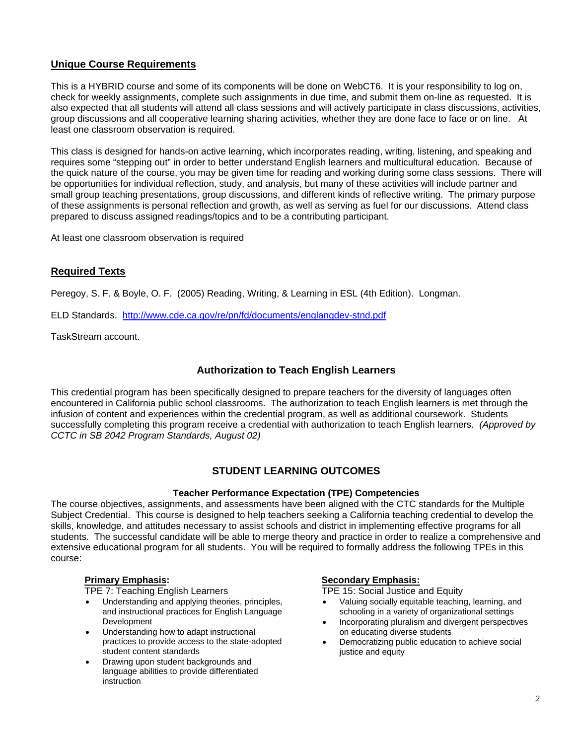# **Unique Course Requirements**

This is a HYBRID course and some of its components will be done on WebCT6. It is your responsibility to log on, check for weekly assignments, complete such assignments in due time, and submit them on-line as requested. It is also expected that all students will attend all class sessions and will actively participate in class discussions, activities, group discussions and all cooperative learning sharing activities, whether they are done face to face or on line. At least one classroom observation is required.

This class is designed for hands-on active learning, which incorporates reading, writing, listening, and speaking and requires some "stepping out" in order to better understand English learners and multicultural education. Because of the quick nature of the course, you may be given time for reading and working during some class sessions. There will be opportunities for individual reflection, study, and analysis, but many of these activities will include partner and small group teaching presentations, group discussions, and different kinds of reflective writing. The primary purpose of these assignments is personal reflection and growth, as well as serving as fuel for our discussions. Attend class prepared to discuss assigned readings/topics and to be a contributing participant.

At least one classroom observation is required

## **Required Texts**

Peregoy, S. F. & Boyle, O. F. (2005) Reading, Writing, & Learning in ESL (4th Edition). Longman.

ELD Standards. http://www.cde.ca.gov/re/pn/fd/documents/englangdev-stnd.pdf

TaskStream account.

# **Authorization to Teach English Learners**

This credential program has been specifically designed to prepare teachers for the diversity of languages often encountered in California public school classrooms. The authorization to teach English learners is met through the infusion of content and experiences within the credential program, as well as additional coursework. Students successfully completing this program receive a credential with authorization to teach English learners. *(Approved by CCTC in SB 2042 Program Standards, August 02)*

# **STUDENT LEARNING OUTCOMES**

### **Teacher Performance Expectation (TPE) Competencies**

The course objectives, assignments, and assessments have been aligned with the CTC standards for the Multiple Subject Credential. This course is designed to help teachers seeking a California teaching credential to develop the skills, knowledge, and attitudes necessary to assist schools and district in implementing effective programs for all students. The successful candidate will be able to merge theory and practice in order to realize a comprehensive and extensive educational program for all students. You will be required to formally address the following TPEs in this course:

TPE 7: Teaching English Learners TPE 15: Social Justice and Equity

- Understanding and applying theories, principles, and instructional practices for English Language Development
- Understanding how to adapt instructional practices to provide access to the state-adopted student content standards
- Drawing upon student backgrounds and language abilities to provide differentiated instruction

### **Primary Emphasis: Secondary Emphasis:**

- Valuing socially equitable teaching, learning, and schooling in a variety of organizational settings
- Incorporating pluralism and divergent perspectives on educating diverse students
- Democratizing public education to achieve social justice and equity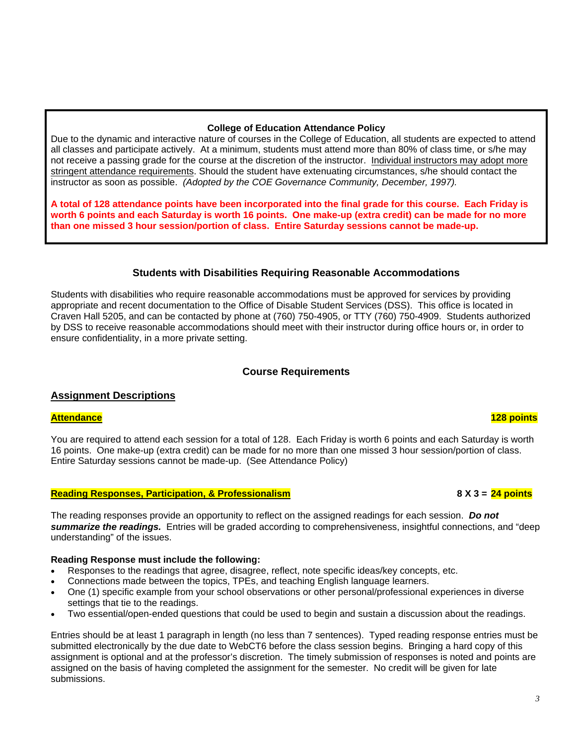# **College of Education Attendance Policy**

Due to the dynamic and interactive nature of courses in the College of Education, all students are expected to attend all classes and participate actively. At a minimum, students must attend more than 80% of class time, or s/he may not receive a passing grade for the course at the discretion of the instructor. Individual instructors may adopt more stringent attendance requirements. Should the student have extenuating circumstances, s/he should contact the instructor as soon as possible. *(Adopted by the COE Governance Community, December, 1997).*

**A total of 128 attendance points have been incorporated into the final grade for this course. Each Friday is worth 6 points and each Saturday is worth 16 points. One make-up (extra credit) can be made for no more than one missed 3 hour session/portion of class. Entire Saturday sessions cannot be made-up.** 

## **Students with Disabilities Requiring Reasonable Accommodations**

Students with disabilities who require reasonable accommodations must be approved for services by providing appropriate and recent documentation to the Office of Disable Student Services (DSS). This office is located in Craven Hall 5205, and can be contacted by phone at (760) 750-4905, or TTY (760) 750-4909. Students authorized by DSS to receive reasonable accommodations should meet with their instructor during office hours or, in order to ensure confidentiality, in a more private setting.

# **Course Requirements**

## **Assignment Descriptions**

### **Attendance 128 points**

You are required to attend each session for a total of 128. Each Friday is worth 6 points and each Saturday is worth 16 points. One make-up (extra credit) can be made for no more than one missed 3 hour session/portion of class. Entire Saturday sessions cannot be made-up. (See Attendance Policy)

## **Reading Responses, Participation, & Professionalism 8 X 3 = 24 points**

The reading responses provide an opportunity to reflect on the assigned readings for each session. *Do not summarize the readings.* Entries will be graded according to comprehensiveness, insightful connections, and "deep understanding" of the issues.

## **Reading Response must include the following:**

- Responses to the readings that agree, disagree, reflect, note specific ideas/key concepts, etc.
- Connections made between the topics, TPEs, and teaching English language learners.
- One (1) specific example from your school observations or other personal/professional experiences in diverse settings that tie to the readings.
- Two essential/open-ended questions that could be used to begin and sustain a discussion about the readings.

Entries should be at least 1 paragraph in length (no less than 7 sentences). Typed reading response entries must be submitted electronically by the due date to WebCT6 before the class session begins. Bringing a hard copy of this assignment is optional and at the professor's discretion. The timely submission of responses is noted and points are assigned on the basis of having completed the assignment for the semester. No credit will be given for late submissions.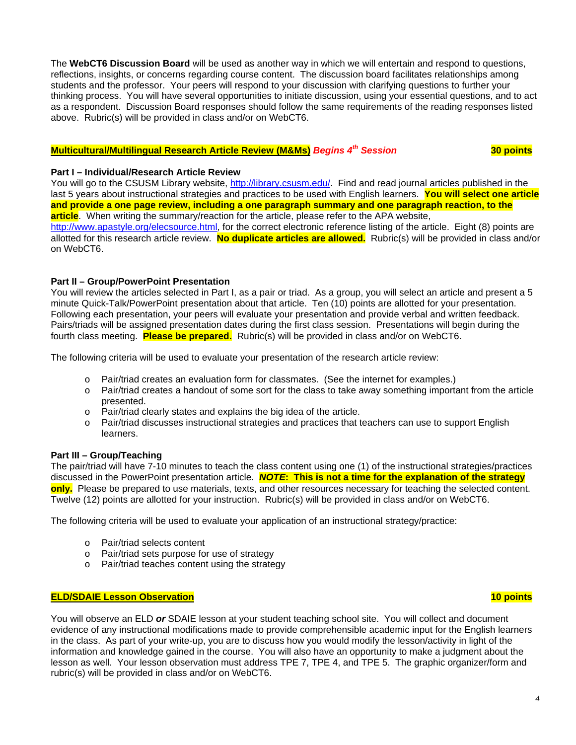The **WebCT6 Discussion Board** will be used as another way in which we will entertain and respond to questions, reflections, insights, or concerns regarding course content. The discussion board facilitates relationships among students and the professor. Your peers will respond to your discussion with clarifying questions to further your thinking process. You will have several opportunities to initiate discussion, using your essential questions, and to act as a respondent. Discussion Board responses should follow the same requirements of the reading responses listed above. Rubric(s) will be provided in class and/or on WebCT6.

# **Multicultural/Multilingual Research Article Review (M&Ms)** *Begins 4th Session* **30 points**

### **Part I – Individual/Research Article Review**

You will go to the CSUSM Library website, http://library.csusm.edu/. Find and read journal articles published in the last 5 years about instructional strategies and practices to be used with English learners. **You will select one article and provide a one page review, including a one paragraph summary and one paragraph reaction, to the article**. When writing the summary/reaction for the article, please refer to the APA website, http://www.apastyle.org/elecsource.html, for the correct electronic reference listing of the article. Eight (8) points are allotted for this research article review. **No duplicate articles are allowed.** Rubric(s) will be provided in class and/or on WebCT6.

### **Part II – Group/PowerPoint Presentation**

You will review the articles selected in Part I, as a pair or triad. As a group, you will select an article and present a 5 minute Quick-Talk/PowerPoint presentation about that article. Ten (10) points are allotted for your presentation. Following each presentation, your peers will evaluate your presentation and provide verbal and written feedback. Pairs/triads will be assigned presentation dates during the first class session. Presentations will begin during the fourth class meeting. **Please be prepared.** Rubric(s) will be provided in class and/or on WebCT6.

The following criteria will be used to evaluate your presentation of the research article review:

- o Pair/triad creates an evaluation form for classmates. (See the internet for examples.)
- o Pair/triad creates a handout of some sort for the class to take away something important from the article presented.
- o Pair/triad clearly states and explains the big idea of the article.
- o Pair/triad discusses instructional strategies and practices that teachers can use to support English learners.

### **Part III – Group/Teaching**

The pair/triad will have 7-10 minutes to teach the class content using one (1) of the instructional strategies/practices discussed in the PowerPoint presentation article. *NOTE***: This is not a time for the explanation of the strategy only.** Please be prepared to use materials, texts, and other resources necessary for teaching the selected content. Twelve (12) points are allotted for your instruction. Rubric(s) will be provided in class and/or on WebCT6.

The following criteria will be used to evaluate your application of an instructional strategy/practice:

- o Pair/triad selects content
- o Pair/triad sets purpose for use of strategy
- o Pair/triad teaches content using the strategy

## **ELD/SDAIE Lesson Observation 10 points**

You will observe an ELD *or* SDAIE lesson at your student teaching school site. You will collect and document evidence of any instructional modifications made to provide comprehensible academic input for the English learners in the class. As part of your write-up, you are to discuss how you would modify the lesson/activity in light of the information and knowledge gained in the course. You will also have an opportunity to make a judgment about the lesson as well. Your lesson observation must address TPE 7, TPE 4, and TPE 5. The graphic organizer/form and rubric(s) will be provided in class and/or on WebCT6.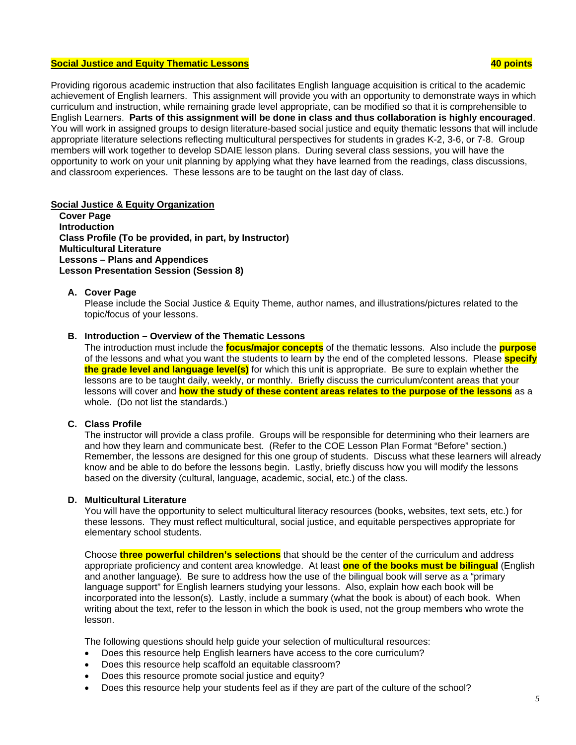## **Social Justice and Equity Thematic Lessons 40 points**

Providing rigorous academic instruction that also facilitates English language acquisition is critical to the academic achievement of English learners. This assignment will provide you with an opportunity to demonstrate ways in which curriculum and instruction, while remaining grade level appropriate, can be modified so that it is comprehensible to English Learners. **Parts of this assignment will be done in class and thus collaboration is highly encouraged**. You will work in assigned groups to design literature-based social justice and equity thematic lessons that will include appropriate literature selections reflecting multicultural perspectives for students in grades K-2, 3-6, or 7-8. Group members will work together to develop SDAIE lesson plans. During several class sessions, you will have the opportunity to work on your unit planning by applying what they have learned from the readings, class discussions, and classroom experiences. These lessons are to be taught on the last day of class.

## **Social Justice & Equity Organization**

**Cover Page Introduction Class Profile (To be provided, in part, by Instructor) Multicultural Literature Lessons – Plans and Appendices Lesson Presentation Session (Session 8)** 

#### **A. Cover Page**

Please include the Social Justice & Equity Theme, author names, and illustrations/pictures related to the topic/focus of your lessons.

#### **B. Introduction – Overview of the Thematic Lessons**

The introduction must include the **focus/major concepts** of the thematic lessons. Also include the **purpose** of the lessons and what you want the students to learn by the end of the completed lessons. Please **specify the grade level and language level(s)** for which this unit is appropriate. Be sure to explain whether the lessons are to be taught daily, weekly, or monthly. Briefly discuss the curriculum/content areas that your lessons will cover and **how the study of these content areas relates to the purpose of the lessons** as a whole. (Do not list the standards.)

## **C. Class Profile**

The instructor will provide a class profile. Groups will be responsible for determining who their learners are and how they learn and communicate best. (Refer to the COE Lesson Plan Format "Before" section.) Remember, the lessons are designed for this one group of students. Discuss what these learners will already know and be able to do before the lessons begin. Lastly, briefly discuss how you will modify the lessons based on the diversity (cultural, language, academic, social, etc.) of the class.

#### **D. Multicultural Literature**

You will have the opportunity to select multicultural literacy resources (books, websites, text sets, etc.) for these lessons. They must reflect multicultural, social justice, and equitable perspectives appropriate for elementary school students.

Choose **three powerful children's selections** that should be the center of the curriculum and address appropriate proficiency and content area knowledge. At least **one of the books must be bilingual** (English and another language). Be sure to address how the use of the bilingual book will serve as a "primary language support" for English learners studying your lessons. Also, explain how each book will be incorporated into the lesson(s). Lastly, include a summary (what the book is about) of each book. When writing about the text, refer to the lesson in which the book is used, not the group members who wrote the lesson.

The following questions should help guide your selection of multicultural resources:

- Does this resource help English learners have access to the core curriculum?
- Does this resource help scaffold an equitable classroom?
- Does this resource promote social justice and equity?
- Does this resource help your students feel as if they are part of the culture of the school?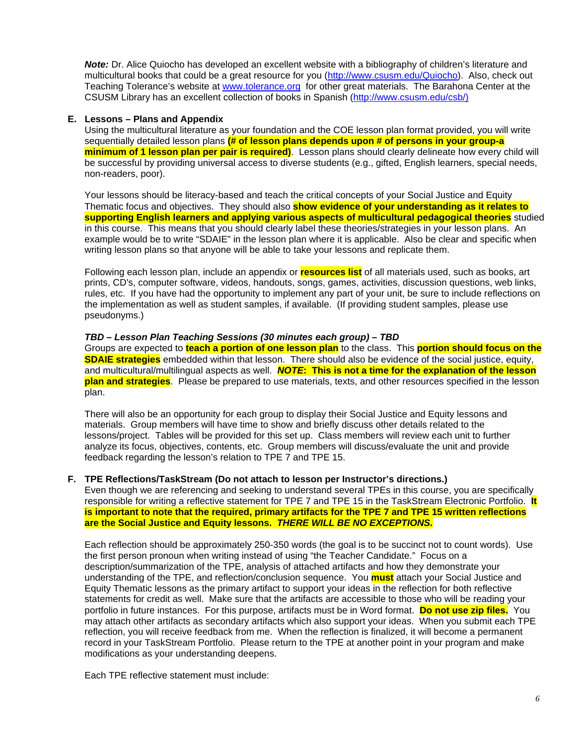*Note:* Dr. Alice Quiocho has developed an excellent website with a bibliography of children's literature and multicultural books that could be a great resource for you (http://www.csusm.edu/Quiocho). Also, check out Teaching Tolerance's website at www.tolerance.org for other great materials. The Barahona Center at the CSUSM Library has an excellent collection of books in Spanish (http://www.csusm.edu/csb/)

## **E. Lessons – Plans and Appendix**

Using the multicultural literature as your foundation and the COE lesson plan format provided, you will write sequentially detailed lesson plans **(# of lesson plans depends upon # of persons in your group-a minimum of 1 lesson plan per pair is required)**. Lesson plans should clearly delineate how every child will be successful by providing universal access to diverse students (e.g., gifted, English learners, special needs, non-readers, poor).

Your lessons should be literacy-based and teach the critical concepts of your Social Justice and Equity Thematic focus and objectives. They should also **show evidence of your understanding as it relates to supporting English learners and applying various aspects of multicultural pedagogical theories** studied in this course. This means that you should clearly label these theories/strategies in your lesson plans. An example would be to write "SDAIE" in the lesson plan where it is applicable. Also be clear and specific when writing lesson plans so that anyone will be able to take your lessons and replicate them.

Following each lesson plan, include an appendix or **resources list** of all materials used, such as books, art prints, CD's, computer software, videos, handouts, songs, games, activities, discussion questions, web links, rules, etc. If you have had the opportunity to implement any part of your unit, be sure to include reflections on the implementation as well as student samples, if available. (If providing student samples, please use pseudonyms.)

### *TBD – Lesson Plan Teaching Sessions (30 minutes each group) – TBD*

Groups are expected to **teach a portion of one lesson plan** to the class. This **portion should focus on the SDAIE strategies** embedded within that lesson. There should also be evidence of the social justice, equity, and multicultural/multilingual aspects as well. *NOTE***: This is not a time for the explanation of the lesson plan and strategies**. Please be prepared to use materials, texts, and other resources specified in the lesson plan.

There will also be an opportunity for each group to display their Social Justice and Equity lessons and materials. Group members will have time to show and briefly discuss other details related to the lessons/project. Tables will be provided for this set up. Class members will review each unit to further analyze its focus, objectives, contents, etc. Group members will discuss/evaluate the unit and provide feedback regarding the lesson's relation to TPE 7 and TPE 15.

### **F. TPE Reflections/TaskStream (Do not attach to lesson per Instructor's directions.)**

Even though we are referencing and seeking to understand several TPEs in this course, you are specifically responsible for writing a reflective statement for TPE 7 and TPE 15 in the TaskStream Electronic Portfolio. **It is important to note that the required, primary artifacts for the TPE 7 and TPE 15 written reflections are the Social Justice and Equity lessons.** *THERE WILL BE NO EXCEPTIONS.*

Each reflection should be approximately 250-350 words (the goal is to be succinct not to count words). Use the first person pronoun when writing instead of using "the Teacher Candidate." Focus on a description/summarization of the TPE, analysis of attached artifacts and how they demonstrate your understanding of the TPE, and reflection/conclusion sequence. You **must** attach your Social Justice and Equity Thematic lessons as the primary artifact to support your ideas in the reflection for both reflective statements for credit as well. Make sure that the artifacts are accessible to those who will be reading your portfolio in future instances. For this purpose, artifacts must be in Word format. **Do not use zip files.** You may attach other artifacts as secondary artifacts which also support your ideas. When you submit each TPE reflection, you will receive feedback from me. When the reflection is finalized, it will become a permanent record in your TaskStream Portfolio. Please return to the TPE at another point in your program and make modifications as your understanding deepens.

Each TPE reflective statement must include: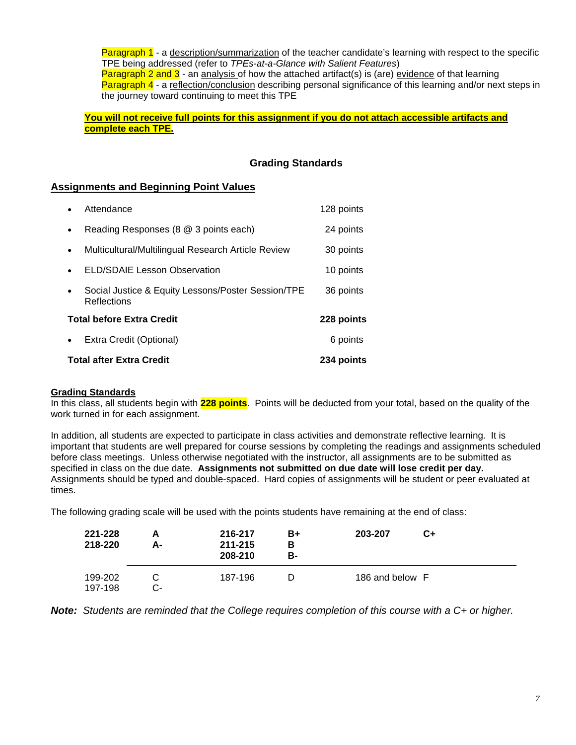Paragraph 1 - a description/summarization of the teacher candidate's learning with respect to the specific TPE being addressed (refer to *TPEs-at-a-Glance with Salient Features*) **Paragraph 2 and 3** - an analysis of how the attached artifact(s) is (are) evidence of that learning Paragraph 4 - a reflection/conclusion describing personal significance of this learning and/or next steps in the journey toward continuing to meet this TPE

You will not receive full points for this assignment if you do not attach accessible artifacts and **complete each TPE.**

## **Grading Standards**

## **Assignments and Beginning Point Values**

| <b>Total after Extra Credit</b> | 234 points                                                        |            |
|---------------------------------|-------------------------------------------------------------------|------------|
| $\bullet$                       | Extra Credit (Optional)                                           | 6 points   |
|                                 | <b>Total before Extra Credit</b>                                  | 228 points |
| $\bullet$                       | Social Justice & Equity Lessons/Poster Session/TPE<br>Reflections | 36 points  |
| $\bullet$                       | <b>ELD/SDAIE Lesson Observation</b>                               | 10 points  |
| $\bullet$                       | Multicultural/Multilingual Research Article Review                | 30 points  |
| $\bullet$                       | Reading Responses (8 @ 3 points each)                             | 24 points  |
|                                 | Attendance                                                        | 128 points |

### **Grading Standards**

In this class, all students begin with **228 points**. Points will be deducted from your total, based on the quality of the work turned in for each assignment.

In addition, all students are expected to participate in class activities and demonstrate reflective learning. It is important that students are well prepared for course sessions by completing the readings and assignments scheduled before class meetings. Unless otherwise negotiated with the instructor, all assignments are to be submitted as specified in class on the due date. **Assignments not submitted on due date will lose credit per day.** Assignments should be typed and double-spaced. Hard copies of assignments will be student or peer evaluated at times.

The following grading scale will be used with the points students have remaining at the end of class:

| 221-228<br>218-220 | А-     | 216-217<br>211-215<br>208-210 | B+<br>в<br>в- | 203-207         | C+ |  |
|--------------------|--------|-------------------------------|---------------|-----------------|----|--|
| 199-202<br>197-198 | $\sim$ | 187-196                       |               | 186 and below F |    |  |

*Note: Students are reminded that the College requires completion of this course with a C+ or higher.*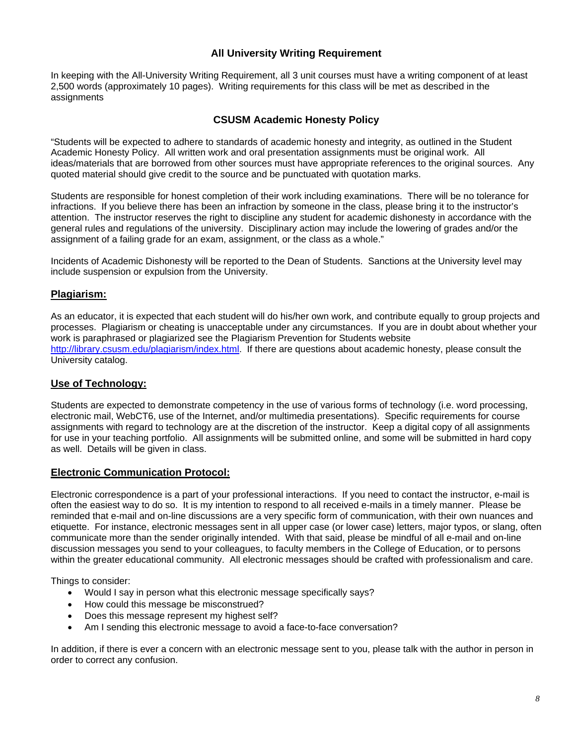# **All University Writing Requirement**

In keeping with the All-University Writing Requirement, all 3 unit courses must have a writing component of at least 2,500 words (approximately 10 pages). Writing requirements for this class will be met as described in the assignments

## **CSUSM Academic Honesty Policy**

"Students will be expected to adhere to standards of academic honesty and integrity, as outlined in the Student Academic Honesty Policy. All written work and oral presentation assignments must be original work. All ideas/materials that are borrowed from other sources must have appropriate references to the original sources. Any quoted material should give credit to the source and be punctuated with quotation marks.

Students are responsible for honest completion of their work including examinations. There will be no tolerance for infractions. If you believe there has been an infraction by someone in the class, please bring it to the instructor's attention. The instructor reserves the right to discipline any student for academic dishonesty in accordance with the general rules and regulations of the university. Disciplinary action may include the lowering of grades and/or the assignment of a failing grade for an exam, assignment, or the class as a whole."

Incidents of Academic Dishonesty will be reported to the Dean of Students. Sanctions at the University level may include suspension or expulsion from the University.

# **Plagiarism:**

As an educator, it is expected that each student will do his/her own work, and contribute equally to group projects and processes. Plagiarism or cheating is unacceptable under any circumstances. If you are in doubt about whether your work is paraphrased or plagiarized see the Plagiarism Prevention for Students website http://library.csusm.edu/plagiarism/index.html. If there are questions about academic honesty, please consult the University catalog.

# **Use of Technology:**

Students are expected to demonstrate competency in the use of various forms of technology (i.e. word processing, electronic mail, WebCT6, use of the Internet, and/or multimedia presentations). Specific requirements for course assignments with regard to technology are at the discretion of the instructor. Keep a digital copy of all assignments for use in your teaching portfolio. All assignments will be submitted online, and some will be submitted in hard copy as well. Details will be given in class.

## **Electronic Communication Protocol:**

Electronic correspondence is a part of your professional interactions. If you need to contact the instructor, e-mail is often the easiest way to do so. It is my intention to respond to all received e-mails in a timely manner. Please be reminded that e-mail and on-line discussions are a very specific form of communication, with their own nuances and etiquette. For instance, electronic messages sent in all upper case (or lower case) letters, major typos, or slang, often communicate more than the sender originally intended. With that said, please be mindful of all e-mail and on-line discussion messages you send to your colleagues, to faculty members in the College of Education, or to persons within the greater educational community. All electronic messages should be crafted with professionalism and care.

Things to consider:

- Would I say in person what this electronic message specifically says?
- How could this message be misconstrued?
- Does this message represent my highest self?
- Am I sending this electronic message to avoid a face-to-face conversation?

In addition, if there is ever a concern with an electronic message sent to you, please talk with the author in person in order to correct any confusion.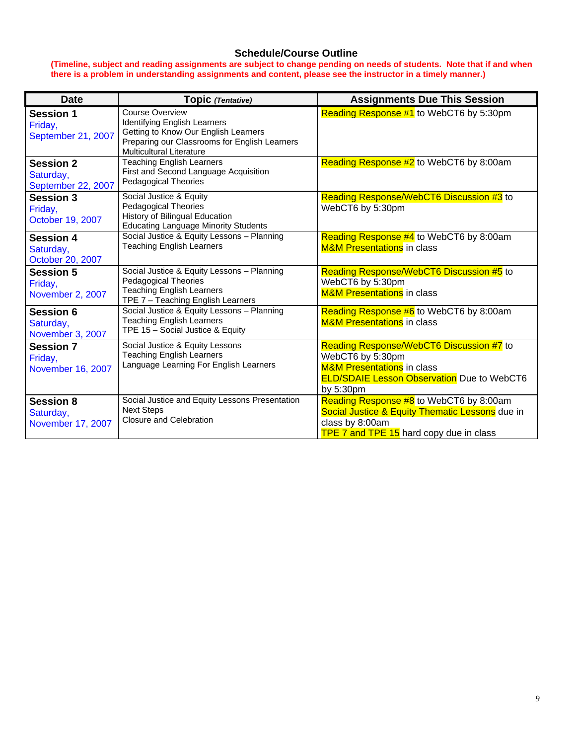# **Schedule/Course Outline**

#### **(Timeline, subject and reading assignments are subject to change pending on needs of students. Note that if and when there is a problem in understanding assignments and content, please see the instructor in a timely manner.)**

| <b>Date</b>                                               | Topic (Tentative)                                                                                                                                                                  | <b>Assignments Due This Session</b>                                                                                                                                     |
|-----------------------------------------------------------|------------------------------------------------------------------------------------------------------------------------------------------------------------------------------------|-------------------------------------------------------------------------------------------------------------------------------------------------------------------------|
| <b>Session 1</b><br>Friday,<br>September 21, 2007         | <b>Course Overview</b><br>Identifying English Learners<br>Getting to Know Our English Learners<br>Preparing our Classrooms for English Learners<br><b>Multicultural Literature</b> | Reading Response #1 to WebCT6 by 5:30pm                                                                                                                                 |
| <b>Session 2</b><br>Saturday,<br>September 22, 2007       | <b>Teaching English Learners</b><br>First and Second Language Acquisition<br><b>Pedagogical Theories</b>                                                                           | Reading Response #2 to WebCT6 by 8:00am                                                                                                                                 |
| <b>Session 3</b><br>Friday,<br>October 19, 2007           | Social Justice & Equity<br><b>Pedagogical Theories</b><br>History of Bilingual Education<br><b>Educating Language Minority Students</b>                                            | Reading Response/WebCT6 Discussion #3 to<br>WebCT6 by 5:30pm                                                                                                            |
| <b>Session 4</b><br>Saturday,<br>October 20, 2007         | Social Justice & Equity Lessons - Planning<br><b>Teaching English Learners</b>                                                                                                     | Reading Response #4 to WebCT6 by 8:00am<br><b>M&amp;M Presentations</b> in class                                                                                        |
| <b>Session 5</b><br>Friday,<br>November 2, 2007           | Social Justice & Equity Lessons - Planning<br><b>Pedagogical Theories</b><br><b>Teaching English Learners</b><br>TPE 7 - Teaching English Learners                                 | Reading Response/WebCT6 Discussion #5 to<br>WebCT6 by 5:30pm<br><b>M&amp;M Presentations</b> in class                                                                   |
| Session 6<br>Saturday,<br>November 3, 2007                | Social Justice & Equity Lessons - Planning<br><b>Teaching English Learners</b><br>TPE 15 - Social Justice & Equity                                                                 | Reading Response #6 to WebCT6 by 8:00am<br><b>M&amp;M Presentations</b> in class                                                                                        |
| <b>Session 7</b><br>Friday,<br>November 16, 2007          | Social Justice & Equity Lessons<br><b>Teaching English Learners</b><br>Language Learning For English Learners                                                                      | Reading Response/WebCT6 Discussion #7 to<br>WebCT6 by 5:30pm<br><b>M&amp;M Presentations</b> in class<br><b>ELD/SDAIE Lesson Observation</b> Due to WebCT6<br>by 5:30pm |
| <b>Session 8</b><br>Saturday,<br><b>November 17, 2007</b> | Social Justice and Equity Lessons Presentation<br><b>Next Steps</b><br><b>Closure and Celebration</b>                                                                              | Reading Response #8 to WebCT6 by 8:00am<br>Social Justice & Equity Thematic Lessons due in<br>class by 8:00am<br>TPE 7 and TPE 15 hard copy due in class                |